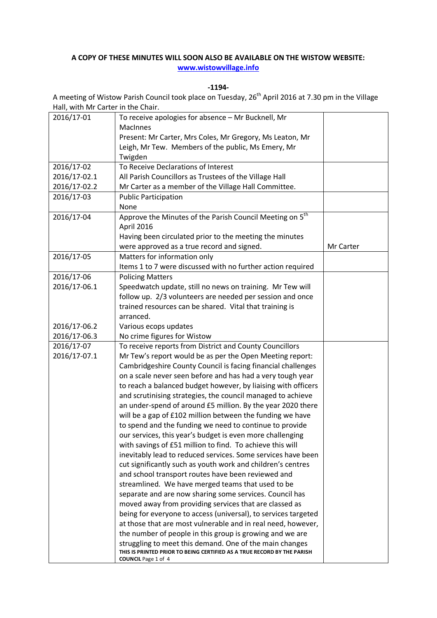## **A COPY OF THESE MINUTES WILL SOON ALSO BE AVAILABLE ON THE WISTOW WEBSITE: [www.wistowvillage.info](http://www.wistowvillage.info/)**

**-1194-**

A meeting of Wistow Parish Council took place on Tuesday, 26<sup>th</sup> April 2016 at 7.30 pm in the Village Hall, with Mr Carter in the Chair.

| 2016/17-01   | To receive apologies for absence - Mr Bucknell, Mr                                                                                                               |           |
|--------------|------------------------------------------------------------------------------------------------------------------------------------------------------------------|-----------|
|              | <b>MacInnes</b>                                                                                                                                                  |           |
|              | Present: Mr Carter, Mrs Coles, Mr Gregory, Ms Leaton, Mr                                                                                                         |           |
|              | Leigh, Mr Tew. Members of the public, Ms Emery, Mr                                                                                                               |           |
|              | Twigden                                                                                                                                                          |           |
| 2016/17-02   | To Receive Declarations of Interest                                                                                                                              |           |
| 2016/17-02.1 | All Parish Councillors as Trustees of the Village Hall                                                                                                           |           |
| 2016/17-02.2 | Mr Carter as a member of the Village Hall Committee.                                                                                                             |           |
| 2016/17-03   | <b>Public Participation</b>                                                                                                                                      |           |
|              | None                                                                                                                                                             |           |
| 2016/17-04   | Approve the Minutes of the Parish Council Meeting on 5 <sup>th</sup>                                                                                             |           |
|              | April 2016                                                                                                                                                       |           |
|              | Having been circulated prior to the meeting the minutes                                                                                                          |           |
|              | were approved as a true record and signed.                                                                                                                       | Mr Carter |
| 2016/17-05   | Matters for information only                                                                                                                                     |           |
|              | Items 1 to 7 were discussed with no further action required                                                                                                      |           |
| 2016/17-06   | <b>Policing Matters</b>                                                                                                                                          |           |
| 2016/17-06.1 | Speedwatch update, still no news on training. Mr Tew will                                                                                                        |           |
|              | follow up. 2/3 volunteers are needed per session and once                                                                                                        |           |
|              | trained resources can be shared. Vital that training is                                                                                                          |           |
|              | arranced.                                                                                                                                                        |           |
| 2016/17-06.2 | Various ecops updates                                                                                                                                            |           |
| 2016/17-06.3 | No crime figures for Wistow                                                                                                                                      |           |
| 2016/17-07   | To receive reports from District and County Councillors                                                                                                          |           |
| 2016/17-07.1 | Mr Tew's report would be as per the Open Meeting report:                                                                                                         |           |
|              | Cambridgeshire County Council is facing financial challenges                                                                                                     |           |
|              | on a scale never seen before and has had a very tough year                                                                                                       |           |
|              | to reach a balanced budget however, by liaising with officers                                                                                                    |           |
|              | and scrutinising strategies, the council managed to achieve                                                                                                      |           |
|              | an under-spend of around £5 million. By the year 2020 there                                                                                                      |           |
|              | will be a gap of £102 million between the funding we have                                                                                                        |           |
|              | to spend and the funding we need to continue to provide                                                                                                          |           |
|              | our services, this year's budget is even more challenging                                                                                                        |           |
|              | with savings of £51 million to find. To achieve this will                                                                                                        |           |
|              | inevitably lead to reduced services. Some services have been                                                                                                     |           |
|              | cut significantly such as youth work and children's centres                                                                                                      |           |
|              | and school transport routes have been reviewed and                                                                                                               |           |
|              | streamlined. We have merged teams that used to be                                                                                                                |           |
|              | separate and are now sharing some services. Council has                                                                                                          |           |
|              | moved away from providing services that are classed as                                                                                                           |           |
|              | being for everyone to access (universal), to services targeted                                                                                                   |           |
|              | at those that are most vulnerable and in real need, however,                                                                                                     |           |
|              | the number of people in this group is growing and we are                                                                                                         |           |
|              | struggling to meet this demand. One of the main changes<br>THIS IS PRINTED PRIOR TO BEING CERTIFIED AS A TRUE RECORD BY THE PARISH<br><b>COUNCIL</b> Page 1 of 4 |           |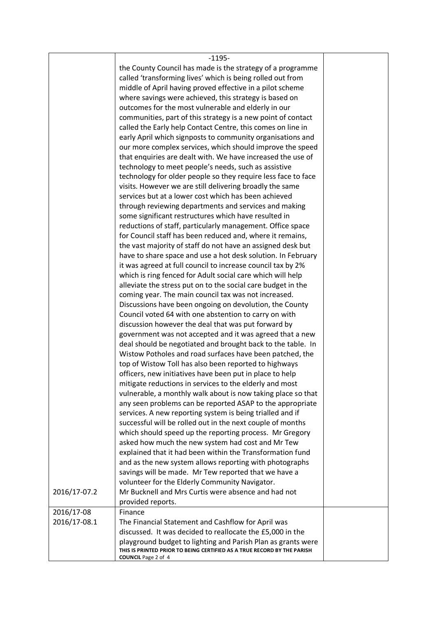|              | $-1195-$                                                                                              |  |
|--------------|-------------------------------------------------------------------------------------------------------|--|
|              | the County Council has made is the strategy of a programme                                            |  |
|              | called 'transforming lives' which is being rolled out from                                            |  |
|              | middle of April having proved effective in a pilot scheme                                             |  |
|              | where savings were achieved, this strategy is based on                                                |  |
|              | outcomes for the most vulnerable and elderly in our                                                   |  |
|              | communities, part of this strategy is a new point of contact                                          |  |
|              | called the Early help Contact Centre, this comes on line in                                           |  |
|              | early April which signposts to community organisations and                                            |  |
|              | our more complex services, which should improve the speed                                             |  |
|              | that enquiries are dealt with. We have increased the use of                                           |  |
|              | technology to meet people's needs, such as assistive                                                  |  |
|              | technology for older people so they require less face to face                                         |  |
|              | visits. However we are still delivering broadly the same                                              |  |
|              | services but at a lower cost which has been achieved                                                  |  |
|              | through reviewing departments and services and making                                                 |  |
|              | some significant restructures which have resulted in                                                  |  |
|              | reductions of staff, particularly management. Office space                                            |  |
|              | for Council staff has been reduced and, where it remains,                                             |  |
|              | the vast majority of staff do not have an assigned desk but                                           |  |
|              | have to share space and use a hot desk solution. In February                                          |  |
|              | it was agreed at full council to increase council tax by 2%                                           |  |
|              | which is ring fenced for Adult social care which will help                                            |  |
|              | alleviate the stress put on to the social care budget in the                                          |  |
|              | coming year. The main council tax was not increased.                                                  |  |
|              | Discussions have been ongoing on devolution, the County                                               |  |
|              | Council voted 64 with one abstention to carry on with                                                 |  |
|              | discussion however the deal that was put forward by                                                   |  |
|              | government was not accepted and it was agreed that a new                                              |  |
|              | deal should be negotiated and brought back to the table. In                                           |  |
|              | Wistow Potholes and road surfaces have been patched, the                                              |  |
|              | top of Wistow Toll has also been reported to highways                                                 |  |
|              | officers, new initiatives have been put in place to help                                              |  |
|              | mitigate reductions in services to the elderly and most                                               |  |
|              | vulnerable, a monthly walk about is now taking place so that                                          |  |
|              | any seen problems can be reported ASAP to the appropriate                                             |  |
|              | services. A new reporting system is being trialled and if                                             |  |
|              | successful will be rolled out in the next couple of months                                            |  |
|              | which should speed up the reporting process. Mr Gregory                                               |  |
|              | asked how much the new system had cost and Mr Tew                                                     |  |
|              | explained that it had been within the Transformation fund                                             |  |
|              | and as the new system allows reporting with photographs                                               |  |
|              | savings will be made. Mr Tew reported that we have a                                                  |  |
|              | volunteer for the Elderly Community Navigator.                                                        |  |
| 2016/17-07.2 | Mr Bucknell and Mrs Curtis were absence and had not                                                   |  |
|              | provided reports.                                                                                     |  |
| 2016/17-08   | Finance                                                                                               |  |
| 2016/17-08.1 | The Financial Statement and Cashflow for April was                                                    |  |
|              | discussed. It was decided to reallocate the £5,000 in the                                             |  |
|              | playground budget to lighting and Parish Plan as grants were                                          |  |
|              | THIS IS PRINTED PRIOR TO BEING CERTIFIED AS A TRUE RECORD BY THE PARISH<br><b>COUNCIL</b> Page 2 of 4 |  |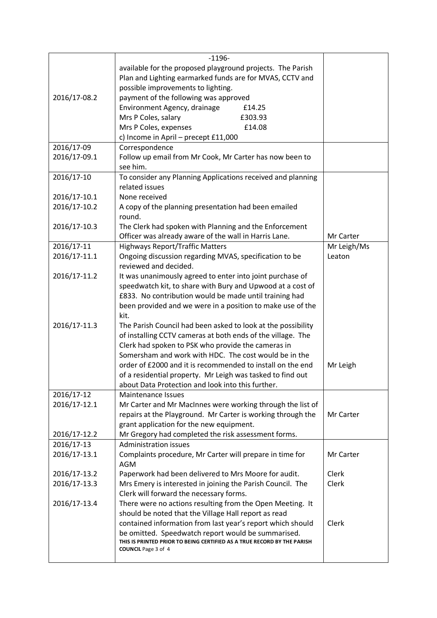|              | $-1196-$                                                                                              |             |
|--------------|-------------------------------------------------------------------------------------------------------|-------------|
|              | available for the proposed playground projects. The Parish                                            |             |
|              | Plan and Lighting earmarked funds are for MVAS, CCTV and                                              |             |
|              | possible improvements to lighting.                                                                    |             |
| 2016/17-08.2 | payment of the following was approved                                                                 |             |
|              | Environment Agency, drainage<br>£14.25                                                                |             |
|              |                                                                                                       |             |
|              | Mrs P Coles, salary<br>£303.93                                                                        |             |
|              | Mrs P Coles, expenses<br>£14.08                                                                       |             |
|              | c) Income in April - precept £11,000                                                                  |             |
| 2016/17-09   | Correspondence                                                                                        |             |
| 2016/17-09.1 | Follow up email from Mr Cook, Mr Carter has now been to                                               |             |
|              | see him.                                                                                              |             |
| 2016/17-10   | To consider any Planning Applications received and planning                                           |             |
|              | related issues                                                                                        |             |
| 2016/17-10.1 | None received                                                                                         |             |
| 2016/17-10.2 | A copy of the planning presentation had been emailed                                                  |             |
|              | round.                                                                                                |             |
| 2016/17-10.3 | The Clerk had spoken with Planning and the Enforcement                                                |             |
|              | Officer was already aware of the wall in Harris Lane.                                                 | Mr Carter   |
| 2016/17-11   | <b>Highways Report/Traffic Matters</b>                                                                | Mr Leigh/Ms |
| 2016/17-11.1 | Ongoing discussion regarding MVAS, specification to be                                                | Leaton      |
|              | reviewed and decided.                                                                                 |             |
| 2016/17-11.2 | It was unanimously agreed to enter into joint purchase of                                             |             |
|              | speedwatch kit, to share with Bury and Upwood at a cost of                                            |             |
|              | £833. No contribution would be made until training had                                                |             |
|              | been provided and we were in a position to make use of the                                            |             |
|              | kit.                                                                                                  |             |
| 2016/17-11.3 | The Parish Council had been asked to look at the possibility                                          |             |
|              | of installing CCTV cameras at both ends of the village. The                                           |             |
|              | Clerk had spoken to PSK who provide the cameras in                                                    |             |
|              | Somersham and work with HDC. The cost would be in the                                                 |             |
|              | order of £2000 and it is recommended to install on the end                                            | Mr Leigh    |
|              | of a residential property. Mr Leigh was tasked to find out                                            |             |
|              | about Data Protection and look into this further.                                                     |             |
|              |                                                                                                       |             |
| 2016/17-12   | <b>Maintenance Issues</b>                                                                             |             |
| 2016/17-12.1 | Mr Carter and Mr MacInnes were working through the list of                                            |             |
|              | repairs at the Playground. Mr Carter is working through the                                           | Mr Carter   |
|              | grant application for the new equipment.                                                              |             |
| 2016/17-12.2 | Mr Gregory had completed the risk assessment forms.                                                   |             |
| 2016/17-13   | <b>Administration issues</b>                                                                          |             |
| 2016/17-13.1 | Complaints procedure, Mr Carter will prepare in time for                                              | Mr Carter   |
|              | <b>AGM</b>                                                                                            |             |
| 2016/17-13.2 | Paperwork had been delivered to Mrs Moore for audit.                                                  | Clerk       |
| 2016/17-13.3 | Mrs Emery is interested in joining the Parish Council. The                                            | Clerk       |
|              | Clerk will forward the necessary forms.                                                               |             |
| 2016/17-13.4 | There were no actions resulting from the Open Meeting. It                                             |             |
|              | should be noted that the Village Hall report as read                                                  |             |
|              | contained information from last year's report which should                                            | Clerk       |
|              | be omitted. Speedwatch report would be summarised.                                                    |             |
|              | THIS IS PRINTED PRIOR TO BEING CERTIFIED AS A TRUE RECORD BY THE PARISH<br><b>COUNCIL</b> Page 3 of 4 |             |
|              |                                                                                                       |             |